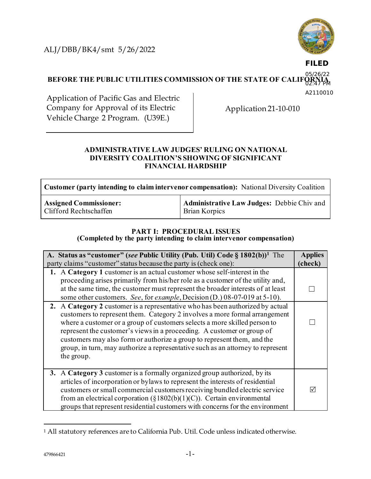ALJ/DBB/BK4/smt 5/26/2022



**FILED**

**BEFORE THE PUBLIC UTILITIES COMMISSION OF THE STATE OF CALIF** 05/26/22  $4$ 7 $M$ 

A2110010

Application of Pacific Gas and Electric Company for Approval of its Electric Vehicle Charge 2 Program. (U39E.)

Application 21-10-010

### **ADMINISTRATIVE LAW JUDGES' RULING ON NATIONAL DIVERSITY COALITION'S SHOWING OF SIGNIFICANT FINANCIAL HARDSHIP**

| <b>Customer (party intending to claim intervenor compensation):</b> National Diversity Coalition |                                            |  |
|--------------------------------------------------------------------------------------------------|--------------------------------------------|--|
| <b>Assigned Commissioner:</b>                                                                    | Administrative Law Judges: Debbie Chiv and |  |
| Clifford Rechtschaffen                                                                           | <b>Brian Korpics</b>                       |  |

# **PART I: PROCEDURAL ISSUES**

**(Completed by the party intending to claim intervenor compensation)**

| A. Status as "customer" (see Public Utility (Pub. Util) Code § 1802(b)) <sup>1</sup> The<br>party claims "customer" status because the party is (check one):                                                                                                                                                                                                                                                                                                                                    | <b>Applies</b><br>(check) |
|-------------------------------------------------------------------------------------------------------------------------------------------------------------------------------------------------------------------------------------------------------------------------------------------------------------------------------------------------------------------------------------------------------------------------------------------------------------------------------------------------|---------------------------|
| 1. A Category 1 customer is an actual customer whose self-interest in the<br>proceeding arises primarily from his/her role as a customer of the utility and,<br>at the same time, the customer must represent the broader interests of at least<br>some other customers. See, for example, Decision (D.) 08-07-019 at 5-10).                                                                                                                                                                    |                           |
| 2. A Category 2 customer is a representative who has been authorized by actual<br>customers to represent them. Category 2 involves a more formal arrangement<br>where a customer or a group of customers selects a more skilled person to<br>represent the customer's views in a proceeding. A customer or group of<br>customers may also form or authorize a group to represent them, and the<br>group, in turn, may authorize a representative such as an attorney to represent<br>the group. |                           |
| 3. A Category 3 customer is a formally organized group authorized, by its<br>articles of incorporation or bylaws to represent the interests of residential<br>customers or small commercial customers receiving bundled electric service<br>from an electrical corporation ( $\S 1802(b)(1)(C)$ ). Certain environmental<br>groups that represent residential customers with concerns for the environment                                                                                       | $\overline{\vee}$         |

<sup>1</sup> All statutory references are to California Pub. Util. Code unless indicated otherwise.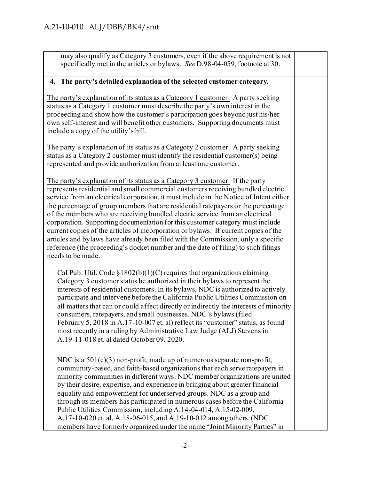| may also qualify as Category 3 customers, even if the above requirement is not<br>specifically met in the articles or bylaws. See D.98-04-059, footnote at 30.                                                                                                                                                                                                                                                                                                                                                                                                                                                                                                                                                                                                                                        |  |
|-------------------------------------------------------------------------------------------------------------------------------------------------------------------------------------------------------------------------------------------------------------------------------------------------------------------------------------------------------------------------------------------------------------------------------------------------------------------------------------------------------------------------------------------------------------------------------------------------------------------------------------------------------------------------------------------------------------------------------------------------------------------------------------------------------|--|
| 4. The party's detailed explanation of the selected customer category.                                                                                                                                                                                                                                                                                                                                                                                                                                                                                                                                                                                                                                                                                                                                |  |
| The party's explanation of its status as a Category 1 customer. A party seeking<br>status as a Category 1 customer must describe the party's own interest in the<br>proceeding and show how the customer's participation goes beyond just his/her<br>own self-interest and will benefit other customers. Supporting documents must<br>include a copy of the utility's bill.                                                                                                                                                                                                                                                                                                                                                                                                                           |  |
| The party's explanation of its status as a Category 2 customer. A party seeking<br>status as a Category 2 customer must identify the residential customer(s) being<br>represented and provide authorization from at least one customer.                                                                                                                                                                                                                                                                                                                                                                                                                                                                                                                                                               |  |
| The party's explanation of its status as a Category 3 customer. If the party<br>represents residential and small commercial customers receiving bundled electric<br>service from an electrical corporation, it must include in the Notice of Intent either<br>the percentage of group members that are residential ratepayers or the percentage<br>of the members who are receiving bundled electric service from an electrical<br>corporation. Supporting documentation for this customer category must include<br>current copies of the articles of incorporation or bylaws. If current copies of the<br>articles and bylaws have already been filed with the Commission, only a specific<br>reference (the proceeding's docket number and the date of filing) to such filings<br>needs to be made. |  |
| Cal Pub. Util. Code $\S1802(b)(1)(C)$ requires that organizations claiming<br>Category 3 customer status be authorized in their bylaws to represent the<br>interests of residential customers. In its bylaws, NDC is authorized to actively<br>participate and intervene before the California Public Utilities Commission on<br>all matters that can or could affect directly or indirectly the interests of minority<br>consumers, ratepayers, and small businesses. NDC's bylaws (filed<br>February 5, 2018 in A.17-10-007 et. al) reflect its "customer" status, as found<br>most recently in a ruling by Administrative Law Judge (ALJ) Stevens in<br>A.19-11-018 et. al dated October 09, 2020.                                                                                                 |  |
| NDC is a $501(c)(3)$ non-profit, made up of numerous separate non-profit,<br>community-based, and faith-based organizations that each serve ratepayers in<br>minority communities in different ways. NDC member organizations are united<br>by their desire, expertise, and experience in bringing about greater financial<br>equality and empowerment for underserved groups. NDC as a group and<br>through its members has participated in numerous cases before the California<br>Public Utilities Commission, including A.14-04-014, A.15-02-009,<br>A.17-10-020 et. al, A.18-06-015, and A.19-10-012 among others. (NDC<br>members have formerly organized under the name "Joint Minority Parties" in                                                                                            |  |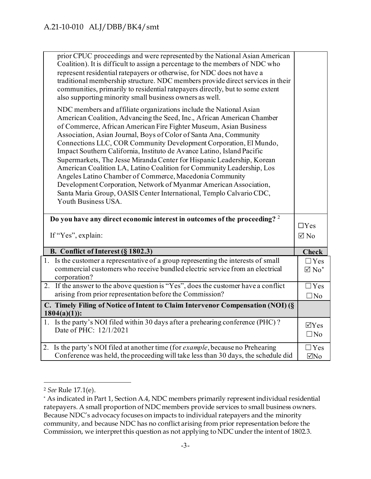|                                                                                | prior CPUC proceedings and were represented by the National Asian American<br>Coalition). It is difficult to assign a percentage to the members of NDC who<br>represent residential ratepayers or otherwise, for NDC does not have a<br>traditional membership structure. NDC members provide direct services in their<br>communities, primarily to residential ratepayers directly, but to some extent<br>also supporting minority small business owners as well.                                                                                                                                                                                                                                                                                                                                                     |                               |
|--------------------------------------------------------------------------------|------------------------------------------------------------------------------------------------------------------------------------------------------------------------------------------------------------------------------------------------------------------------------------------------------------------------------------------------------------------------------------------------------------------------------------------------------------------------------------------------------------------------------------------------------------------------------------------------------------------------------------------------------------------------------------------------------------------------------------------------------------------------------------------------------------------------|-------------------------------|
|                                                                                | NDC members and affiliate organizations include the National Asian<br>American Coalition, Advancing the Seed, Inc., African American Chamber<br>of Commerce, African American Fire Fighter Museum, Asian Business<br>Association, Asian Journal, Boys of Color of Santa Ana, Community<br>Connections LLC, COR Community Development Corporation, El Mundo,<br>Impact Southern California, Instituto de Avance Latino, Island Pacific<br>Supermarkets, The Jesse Miranda Center for Hispanic Leadership, Korean<br>American Coalition LA, Latino Coalition for Community Leadership, Los<br>Angeles Latino Chamber of Commerce, Macedonia Community<br>Development Corporation, Network of Myanmar American Association,<br>Santa Maria Group, OASIS Center International, Templo Calvario CDC,<br>Youth Business USA. |                               |
|                                                                                | Do you have any direct economic interest in outcomes of the proceeding? 2                                                                                                                                                                                                                                                                                                                                                                                                                                                                                                                                                                                                                                                                                                                                              | $\Box$ Yes                    |
|                                                                                | If "Yes", explain:                                                                                                                                                                                                                                                                                                                                                                                                                                                                                                                                                                                                                                                                                                                                                                                                     | $\boxtimes$ No                |
|                                                                                | B. Conflict of Interest (§ 1802.3)                                                                                                                                                                                                                                                                                                                                                                                                                                                                                                                                                                                                                                                                                                                                                                                     | <b>Check</b>                  |
|                                                                                | 1. Is the customer a representative of a group representing the interests of small<br>commercial customers who receive bundled electric service from an electrical<br>corporation?                                                                                                                                                                                                                                                                                                                                                                                                                                                                                                                                                                                                                                     | $\Box$ Yes<br>$\boxtimes$ No* |
|                                                                                | 2. If the answer to the above question is "Yes", does the customer have a conflict<br>arising from prior representation before the Commission?                                                                                                                                                                                                                                                                                                                                                                                                                                                                                                                                                                                                                                                                         | $\exists$ Yes<br>$\square$ No |
| C. Timely Filing of Notice of Intent to Claim Intervenor Compensation (NOI) (§ |                                                                                                                                                                                                                                                                                                                                                                                                                                                                                                                                                                                                                                                                                                                                                                                                                        |                               |
| $1804(a)(1)$ :                                                                 |                                                                                                                                                                                                                                                                                                                                                                                                                                                                                                                                                                                                                                                                                                                                                                                                                        |                               |
|                                                                                | 1. Is the party's NOI filed within 30 days after a prehearing conference (PHC)?<br>Date of PHC: 12/1/2021                                                                                                                                                                                                                                                                                                                                                                                                                                                                                                                                                                                                                                                                                                              | $\Box$ Yes<br>$\square$ No    |
|                                                                                | 2. Is the party's NOI filed at another time (for example, because no Prehearing<br>Conference was held, the proceeding will take less than 30 days, the schedule did                                                                                                                                                                                                                                                                                                                                                                                                                                                                                                                                                                                                                                                   | $\Box$ Yes<br>$\Box$ No       |
|                                                                                |                                                                                                                                                                                                                                                                                                                                                                                                                                                                                                                                                                                                                                                                                                                                                                                                                        |                               |

<sup>2</sup> *See* Rule 17.1(e).

<sup>\*</sup> As indicated in Part 1, Section A.4, NDC members primarily represent individual residential ratepayers. A small proportion of NDC members provide services to small business owners. Because NDC's advocacy focuses on impacts to individual ratepayers and the minority community, and because NDC has no conflict arising from prior representation before the Commission, we interpret this question as not applying to NDC under the intent of 1802.3.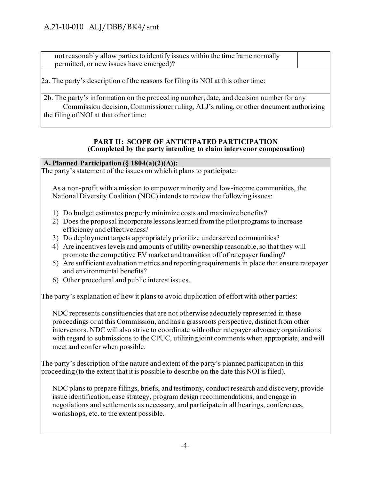not reasonably allow parties to identify issues within the timeframe normally permitted, or new issues have emerged)?

2a. The party's description of the reasons for filing its NOI at this other time:

2b. The party's information on the proceeding number, date, and decision number for any Commission decision, Commissioner ruling, ALJ's ruling, or other document authorizing the filing of NOI at that other time: 

#### **PART II: SCOPE OF ANTICIPATED PARTICIPATION (Completed by the party intending to claim intervenor compensation)**

## **A. Planned Participation (§ 1804(a)(2)(A)):**

The party's statement of the issues on which it plans to participate:

As a non-profit with a mission to empower minority and low-income communities, the National Diversity Coalition (NDC) intends to review the following issues:

- 1) Do budget estimates properly minimize costs and maximize benefits?
- 2) Does the proposal incorporate lessons learned from the pilot programs to increase efficiency and effectiveness?
- 3) Do deployment targets appropriately prioritize underserved communities?
- 4) Are incentives levels and amounts of utility ownership reasonable, so that they will promote the competitive EV market and transition off of ratepayer funding?
- 5) Are sufficient evaluation metrics and reporting requirements in place that ensure ratepayer and environmental benefits?
- 6) Other procedural and public interest issues.

The party's explanation of how it plans to avoid duplication of effort with other parties:

NDC represents constituencies that are not otherwise adequately represented in these proceedings or at this Commission, and has a grassroots perspective, distinct from other intervenors. NDC will also strive to coordinate with other ratepayer advocacy organizations with regard to submissions to the CPUC, utilizing joint comments when appropriate, and will meet and confer when possible.

The party's description of the nature and extent of the party's planned participation in this proceeding (to the extent that it is possible to describe on the date this NOI is filed).

NDC plans to prepare filings, briefs, and testimony, conduct research and discovery, provide issue identification, case strategy, program design recommendations, and engage in negotiations and settlements as necessary, and participate in all hearings, conferences, workshops, etc. to the extent possible.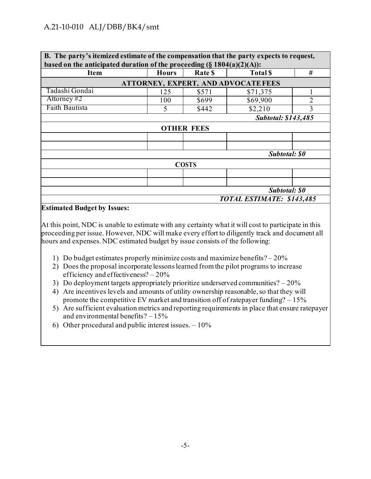## A.21-10-010 ALJ/DBB/BK4/smt

| B. The party's itemized estimate of the compensation that the party expects to request, |              |                   |                            |                |
|-----------------------------------------------------------------------------------------|--------------|-------------------|----------------------------|----------------|
| based on the anticipated duration of the proceeding $(\S 1804(a)(2)(A))$ :              |              |                   |                            |                |
| <b>Item</b>                                                                             | <b>Hours</b> | Rate \$           | <b>Total S</b>             | #              |
| ATTORNEY, EXPERT, AND ADVOCATE FEES                                                     |              |                   |                            |                |
| Tadashi Gondai                                                                          | 125          | \$571             | \$71,375                   |                |
| Attorney $#2$                                                                           | 100          | \$699             | \$69,900                   | $\overline{2}$ |
| Faith Bautista                                                                          | 5            | \$442             | \$2,210                    | 3              |
|                                                                                         |              |                   | <b>Subtotal: \$143,485</b> |                |
|                                                                                         |              | <b>OTHER FEES</b> |                            |                |
|                                                                                         |              |                   |                            |                |
|                                                                                         |              |                   |                            |                |
| Subtotal: \$0                                                                           |              |                   |                            |                |
| <b>COSTS</b>                                                                            |              |                   |                            |                |
|                                                                                         |              |                   |                            |                |
|                                                                                         |              |                   |                            |                |
| Subtotal: \$0                                                                           |              |                   |                            |                |
| TOTAL ESTIMATE: \$143,485                                                               |              |                   |                            |                |

#### **Estimated Budget by Issues:**

At this point, NDC is unable to estimate with any certainty what it will cost to participate in this proceeding per issue. However, NDC will make every effort to diligently track and document all hours and expenses. NDC estimated budget by issue consists of the following:

- 1) Do budget estimates properly minimize costs and maximize benefits? 20%
- 2) Does the proposal incorporate lessons learned from the pilot programs to increase efficiency and effectiveness? – 20%
- 3) Do deployment targets appropriately prioritize underserved communities? 20%
- 4) Are incentives levels and amounts of utility ownership reasonable, so that they will promote the competitive EV market and transition off of ratepayer funding? – 15%
- 5) Are sufficient evaluation metrics and reporting requirements in place that ensure ratepayer and environmental benefits? – 15%
- 6) Other procedural and public interest issues.  $-10\%$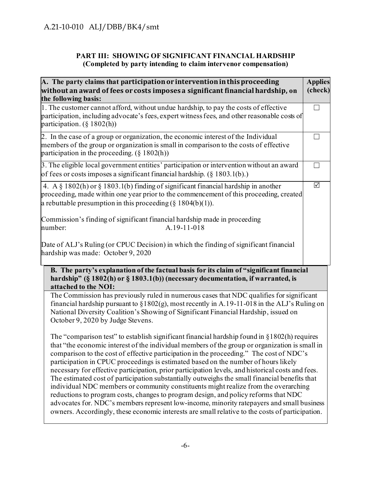## **PART III: SHOWING OF SIGNIFICANT FINANCIAL HARDSHIP (Completed by party intending to claim intervenor compensation)**

| A. The party claims that participation or intervention in this proceeding<br>without an award of fees or costs imposes a significant financial hardship, on<br>the following basis:                                                                                                                                                                                                                                                                                                                                                                                                                                                                                                                                                                                                                                                                                                                                                                                     | <b>Applies</b><br>(check) |
|-------------------------------------------------------------------------------------------------------------------------------------------------------------------------------------------------------------------------------------------------------------------------------------------------------------------------------------------------------------------------------------------------------------------------------------------------------------------------------------------------------------------------------------------------------------------------------------------------------------------------------------------------------------------------------------------------------------------------------------------------------------------------------------------------------------------------------------------------------------------------------------------------------------------------------------------------------------------------|---------------------------|
| 1. The customer cannot afford, without undue hardship, to pay the costs of effective<br>participation, including advocate's fees, expert witness fees, and other reasonable costs of<br>participation. $(\S 1802(h))$                                                                                                                                                                                                                                                                                                                                                                                                                                                                                                                                                                                                                                                                                                                                                   |                           |
| 2. In the case of a group or organization, the economic interest of the Individual<br>members of the group or organization is small in comparison to the costs of effective<br>participation in the proceeding. $(\S 1802(h))$                                                                                                                                                                                                                                                                                                                                                                                                                                                                                                                                                                                                                                                                                                                                          |                           |
| 3. The eligible local government entities' participation or intervention without an award<br>of fees or costs imposes a significant financial hardship. $(\S 1803.1(b))$ .                                                                                                                                                                                                                                                                                                                                                                                                                                                                                                                                                                                                                                                                                                                                                                                              | - 1                       |
| 4. A § 1802(h) or § 1803.1(b) finding of significant financial hardship in another<br>proceeding, made within one year prior to the commencement of this proceeding, created<br>a rebuttable presumption in this proceeding $(\S 1804(b)(1))$ .                                                                                                                                                                                                                                                                                                                                                                                                                                                                                                                                                                                                                                                                                                                         | ☑                         |
| Commission's finding of significant financial hardship made in proceeding<br>A.19-11-018<br>number:                                                                                                                                                                                                                                                                                                                                                                                                                                                                                                                                                                                                                                                                                                                                                                                                                                                                     |                           |
| Date of ALJ's Ruling (or CPUC Decision) in which the finding of significant financial<br>hardship was made: October 9, 2020                                                                                                                                                                                                                                                                                                                                                                                                                                                                                                                                                                                                                                                                                                                                                                                                                                             |                           |
| B. The party's explanation of the factual basis for its claim of "significant financial<br>hardship" (§ 1802(h) or § 1803.1(b)) (necessary documentation, if warranted, is<br>attached to the NOI:                                                                                                                                                                                                                                                                                                                                                                                                                                                                                                                                                                                                                                                                                                                                                                      |                           |
| The Commission has previously ruled in numerous cases that NDC qualifies for significant<br>financial hardship pursuant to $\S 1802(g)$ , most recently in A.19-11-018 in the ALJ's Ruling on<br>National Diversity Coalition's Showing of Significant Financial Hardship, issued on<br>October 9, 2020 by Judge Stevens.                                                                                                                                                                                                                                                                                                                                                                                                                                                                                                                                                                                                                                               |                           |
| The "comparison test" to establish significant financial hardship found in $\S 1802(h)$ requires<br>that "the economic interest of the individual members of the group or organization is small in<br>comparison to the cost of effective participation in the proceeding." The cost of NDC's<br>participation in CPUC proceedings is estimated based on the number of hours likely<br>necessary for effective participation, prior participation levels, and historical costs and fees.<br>The estimated cost of participation substantially outweighs the small financial benefits that<br>individual NDC members or community constituents might realize from the overarching<br>reductions to program costs, changes to program design, and policy reforms that NDC<br>advocates for. NDC's members represent low-income, minority ratepayers and small business<br>owners. Accordingly, these economic interests are small relative to the costs of participation. |                           |